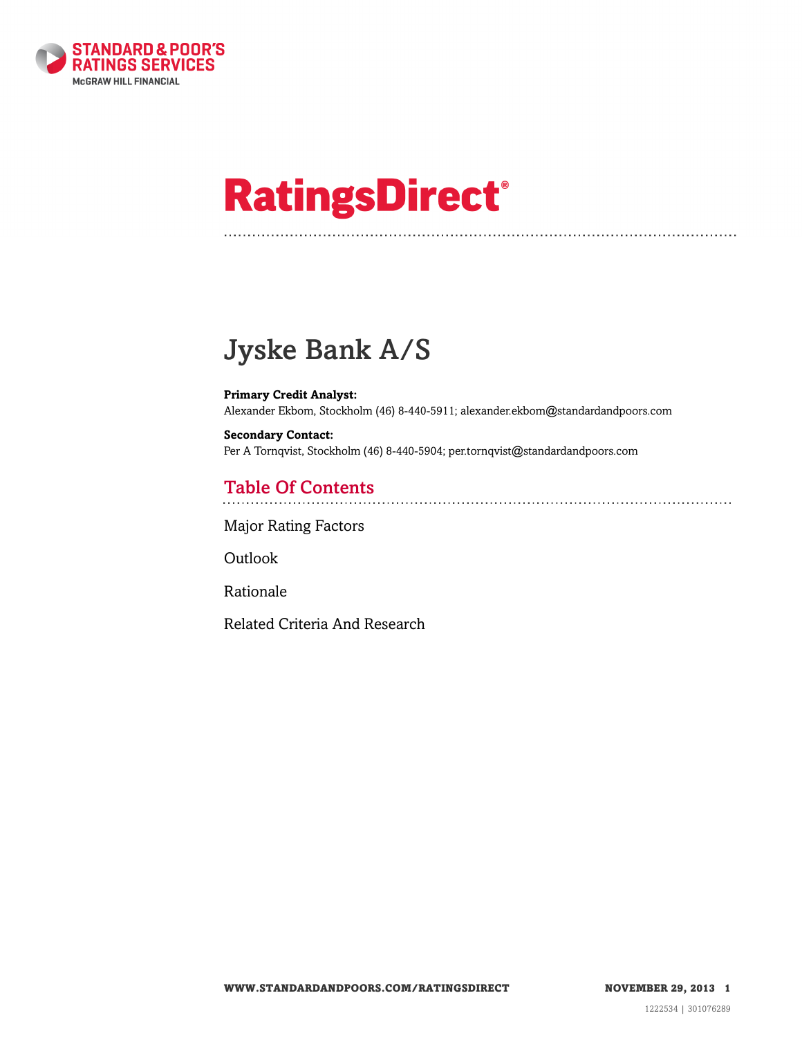

# **RatingsDirect®**

# Jyske Bank A/S

**Primary Credit Analyst:** Alexander Ekbom, Stockholm (46) 8-440-5911; alexander.ekbom@standardandpoors.com

**Secondary Contact:** Per A Tornqvist, Stockholm (46) 8-440-5904; per.tornqvist@standardandpoors.com

# Table Of Contents

[Major Rating Factors](#page-1-0)

[Outlook](#page-1-1)

[Rationale](#page-2-0)

[Related Criteria And Research](#page-9-0)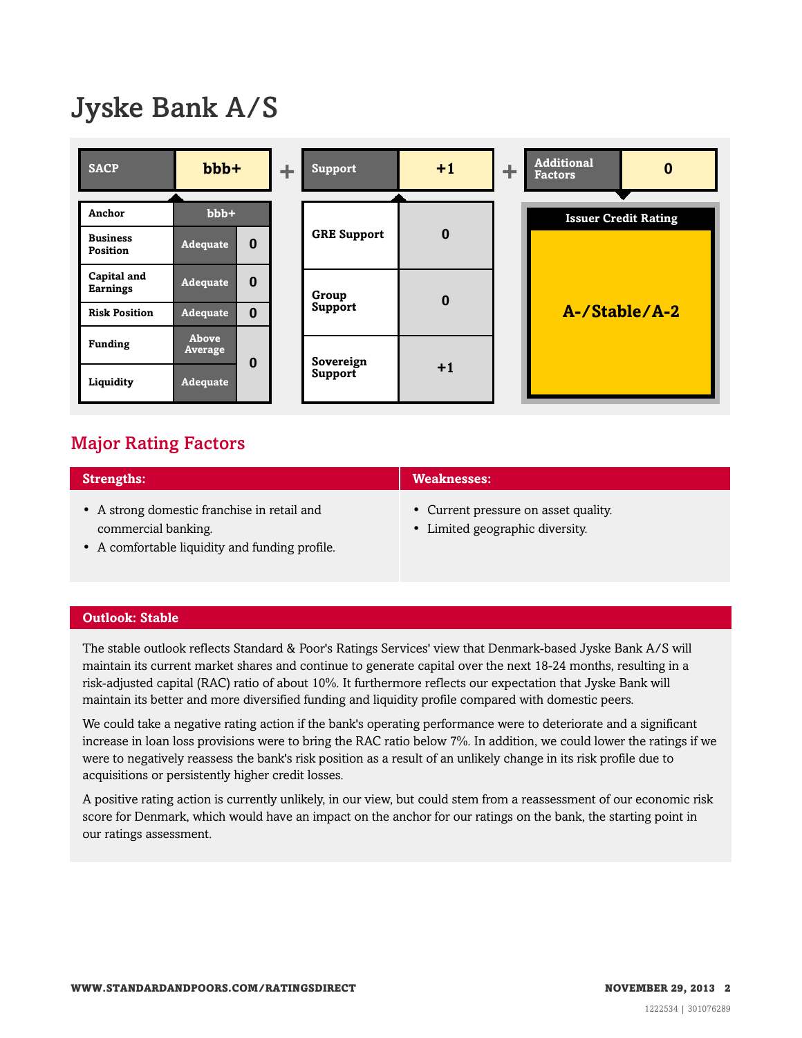# Jyske Bank A/S



## <span id="page-1-0"></span>Major Rating Factors

| <b>Strengths:</b>                           | <b>Weaknesses:</b>                   |
|---------------------------------------------|--------------------------------------|
| • A strong domestic franchise in retail and | • Current pressure on asset quality. |
| commercial banking.                         | • Limited geographic diversity.      |

• A comfortable liquidity and funding profile.

#### <span id="page-1-1"></span>**Outlook: Stable**

The stable outlook reflects Standard & Poor's Ratings Services' view that Denmark-based Jyske Bank A/S will maintain its current market shares and continue to generate capital over the next 18-24 months, resulting in a risk-adjusted capital (RAC) ratio of about 10%. It furthermore reflects our expectation that Jyske Bank will maintain its better and more diversified funding and liquidity profile compared with domestic peers.

We could take a negative rating action if the bank's operating performance were to deteriorate and a significant increase in loan loss provisions were to bring the RAC ratio below 7%. In addition, we could lower the ratings if we were to negatively reassess the bank's risk position as a result of an unlikely change in its risk profile due to acquisitions or persistently higher credit losses.

A positive rating action is currently unlikely, in our view, but could stem from a reassessment of our economic risk score for Denmark, which would have an impact on the anchor for our ratings on the bank, the starting point in our ratings assessment.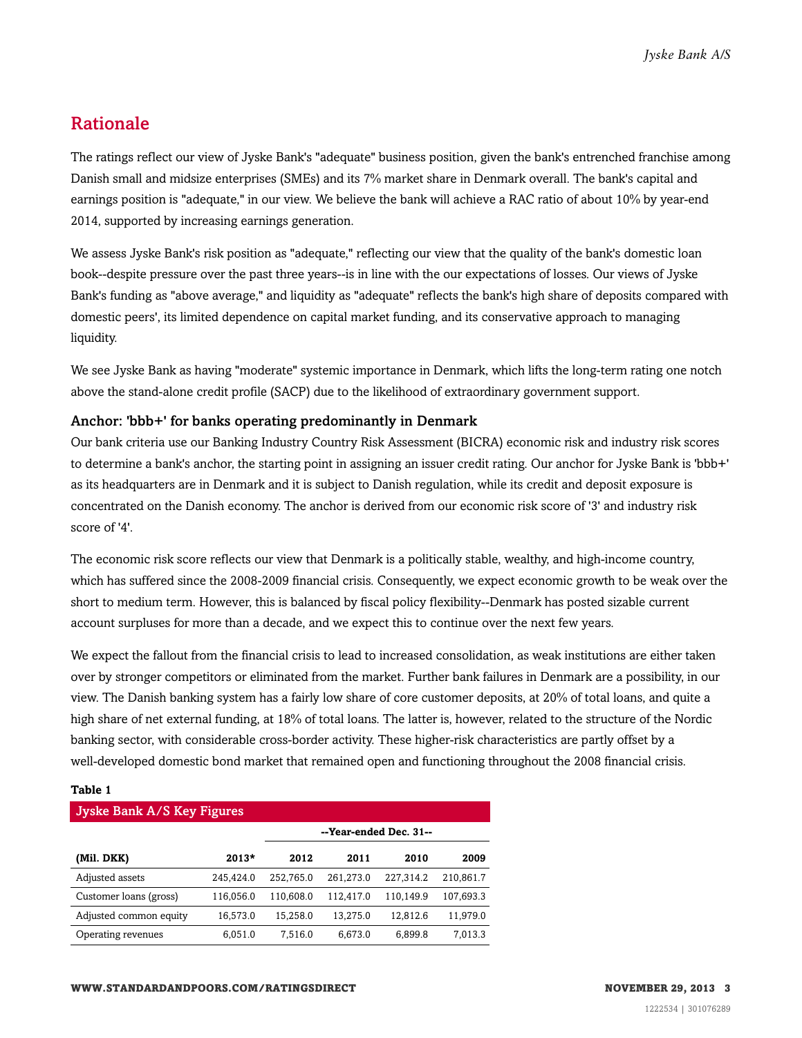### <span id="page-2-0"></span>Rationale

The ratings reflect our view of Jyske Bank's "adequate" business position, given the bank's entrenched franchise among Danish small and midsize enterprises (SMEs) and its 7% market share in Denmark overall. The bank's capital and earnings position is "adequate," in our view. We believe the bank will achieve a RAC ratio of about 10% by year-end 2014, supported by increasing earnings generation.

We assess Jyske Bank's risk position as "adequate," reflecting our view that the quality of the bank's domestic loan book--despite pressure over the past three years--is in line with the our expectations of losses. Our views of Jyske Bank's funding as "above average," and liquidity as "adequate" reflects the bank's high share of deposits compared with domestic peers', its limited dependence on capital market funding, and its conservative approach to managing liquidity.

We see Jyske Bank as having "moderate" systemic importance in Denmark, which lifts the long-term rating one notch above the stand-alone credit profile (SACP) due to the likelihood of extraordinary government support.

#### Anchor: 'bbb+' for banks operating predominantly in Denmark

Our bank criteria use our Banking Industry Country Risk Assessment (BICRA) economic risk and industry risk scores to determine a bank's anchor, the starting point in assigning an issuer credit rating. Our anchor for Jyske Bank is 'bbb+' as its headquarters are in Denmark and it is subject to Danish regulation, while its credit and deposit exposure is concentrated on the Danish economy. The anchor is derived from our economic risk score of '3' and industry risk score of '4'.

The economic risk score reflects our view that Denmark is a politically stable, wealthy, and high-income country, which has suffered since the 2008-2009 financial crisis. Consequently, we expect economic growth to be weak over the short to medium term. However, this is balanced by fiscal policy flexibility--Denmark has posted sizable current account surpluses for more than a decade, and we expect this to continue over the next few years.

We expect the fallout from the financial crisis to lead to increased consolidation, as weak institutions are either taken over by stronger competitors or eliminated from the market. Further bank failures in Denmark are a possibility, in our view. The Danish banking system has a fairly low share of core customer deposits, at 20% of total loans, and quite a high share of net external funding, at 18% of total loans. The latter is, however, related to the structure of the Nordic banking sector, with considerable cross-border activity. These higher-risk characteristics are partly offset by a well-developed domestic bond market that remained open and functioning throughout the 2008 financial crisis.

#### **Table 1**

| Jyske Bank A/S Key Figures |           |                        |           |           |           |  |  |  |  |
|----------------------------|-----------|------------------------|-----------|-----------|-----------|--|--|--|--|
|                            |           | --Year-ended Dec. 31-- |           |           |           |  |  |  |  |
| (Mil. DKK)                 | $2013*$   | 2012                   | 2011      | 2010      | 2009      |  |  |  |  |
| Adjusted assets            | 245.424.0 | 252.765.0              | 261.273.0 | 227.314.2 | 210,861.7 |  |  |  |  |
| Customer loans (gross)     | 116,056.0 | 110,608.0              | 112,417.0 | 110,149.9 | 107,693.3 |  |  |  |  |
| Adjusted common equity     | 16,573.0  | 15,258.0               | 13.275.0  | 12,812.6  | 11,979.0  |  |  |  |  |
| Operating revenues         | 6,051.0   | 7,516.0                | 6,673.0   | 6,899.8   | 7,013.3   |  |  |  |  |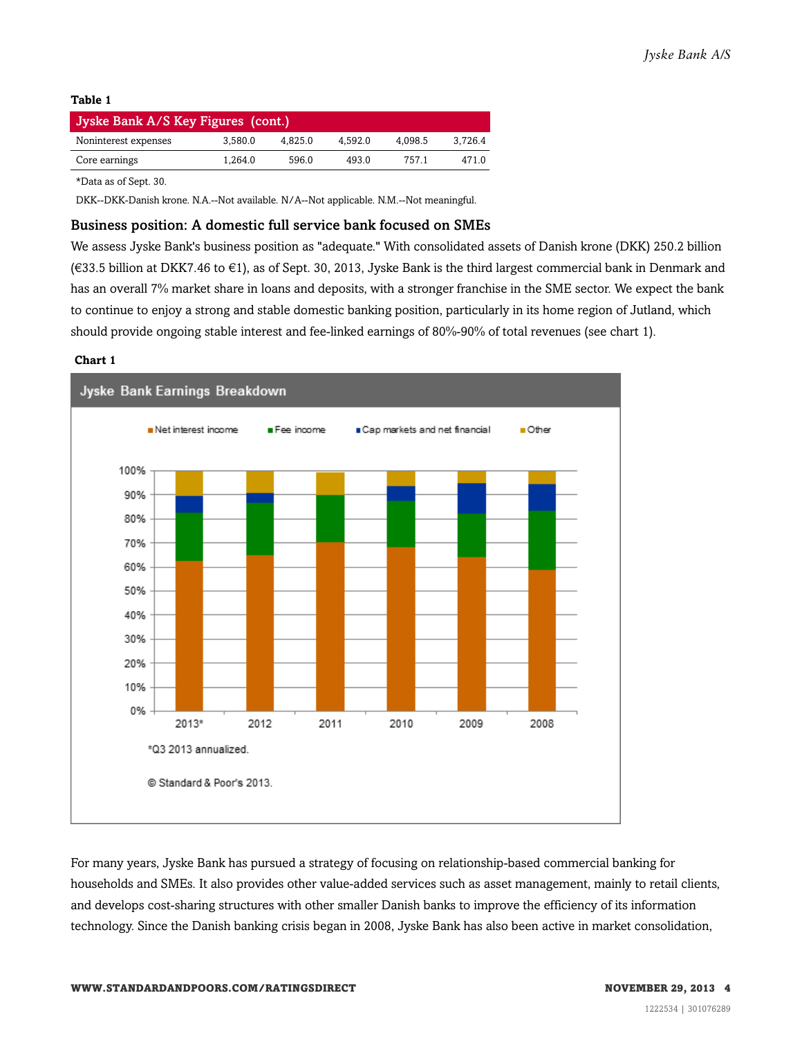| Jyske Bank A/S Key Figures (cont.) |         |         |         |         |         |  |  |  |  |
|------------------------------------|---------|---------|---------|---------|---------|--|--|--|--|
| Noninterest expenses               | 3.580.0 | 4.825.0 | 4.592.0 | 4.098.5 | 3.726.4 |  |  |  |  |
| Core earnings                      | 1.264.0 | 596.0   | 493.0   | 7571    | 4710    |  |  |  |  |

\*Data as of Sept. 30.

DKK--DKK-Danish krone. N.A.--Not available. N/A--Not applicable. N.M.--Not meaningful.

#### Business position: A domestic full service bank focused on SMEs

We assess Jyske Bank's business position as "adequate." With consolidated assets of Danish krone (DKK) 250.2 billion (€33.5 billion at DKK7.46 to €1), as of Sept. 30, 2013, Jyske Bank is the third largest commercial bank in Denmark and has an overall 7% market share in loans and deposits, with a stronger franchise in the SME sector. We expect the bank to continue to enjoy a strong and stable domestic banking position, particularly in its home region of Jutland, which should provide ongoing stable interest and fee-linked earnings of 80%-90% of total revenues (see chart 1).

#### **Chart 1**



For many years, Jyske Bank has pursued a strategy of focusing on relationship-based commercial banking for households and SMEs. It also provides other value-added services such as asset management, mainly to retail clients, and develops cost-sharing structures with other smaller Danish banks to improve the efficiency of its information technology. Since the Danish banking crisis began in 2008, Jyske Bank has also been active in market consolidation,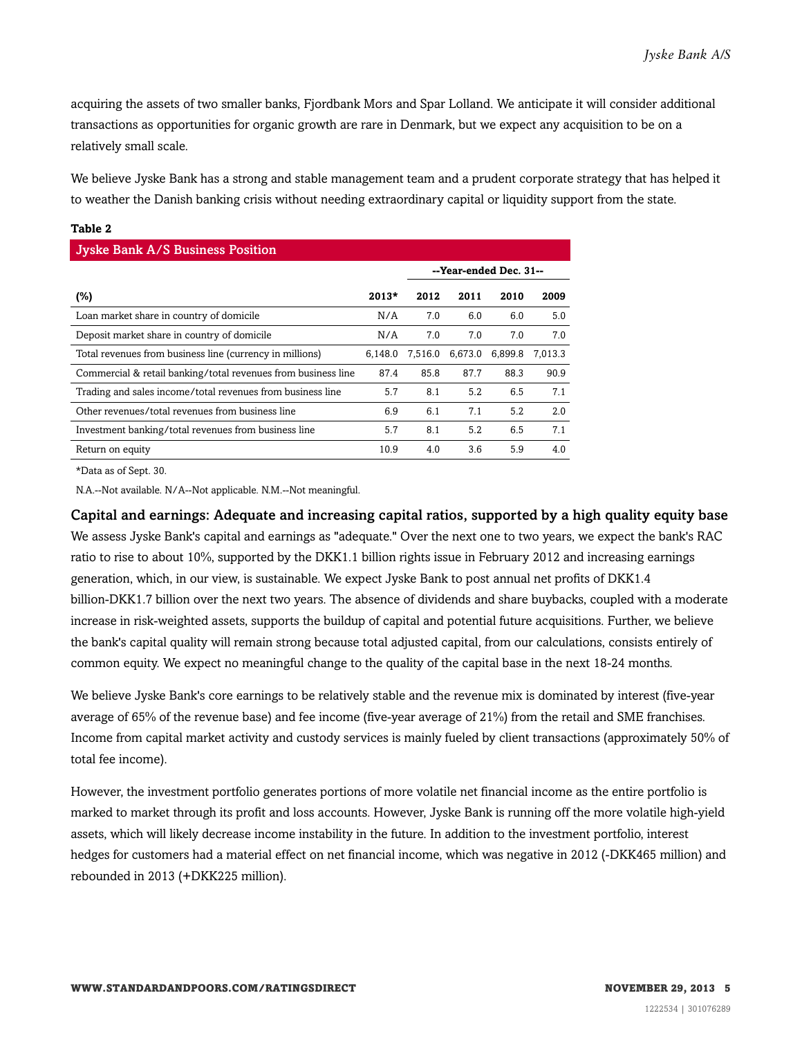acquiring the assets of two smaller banks, Fjordbank Mors and Spar Lolland. We anticipate it will consider additional transactions as opportunities for organic growth are rare in Denmark, but we expect any acquisition to be on a relatively small scale.

We believe Jyske Bank has a strong and stable management team and a prudent corporate strategy that has helped it to weather the Danish banking crisis without needing extraordinary capital or liquidity support from the state.

| ×<br>٠<br>v<br>I |  |
|------------------|--|
|------------------|--|

| <b>Jyske Bank A/S Business Position</b>                       |         |         |         |                        |         |
|---------------------------------------------------------------|---------|---------|---------|------------------------|---------|
|                                                               |         |         |         | --Year-ended Dec. 31-- |         |
| (%)                                                           | $2013*$ | 2012    | 2011    | 2010                   | 2009    |
| Loan market share in country of domicile                      | N/A     | 7.0     | 6.0     | 6.0                    | 5.0     |
| Deposit market share in country of domicile                   | N/A     | 7.0     | 7.0     | 7.0                    | 7.0     |
| Total revenues from business line (currency in millions)      | 6.148.0 | 7,516.0 | 6,673.0 | 6.899.8                | 7.013.3 |
| Commercial & retail banking/total revenues from business line | 87.4    | 85.8    | 87.7    | 88.3                   | 90.9    |
| Trading and sales income/total revenues from business line    | 5.7     | 8.1     | 5.2     | 6.5                    | 7.1     |
| Other revenues/total revenues from business line              | 6.9     | 6.1     | 7.1     | 5.2                    | 2.0     |
| Investment banking/total revenues from business line          | 5.7     | 8.1     | 5.2     | 6.5                    | 7.1     |
| Return on equity                                              | 10.9    | 4.0     | 3.6     | 5.9                    | 4.0     |

\*Data as of Sept. 30.

N.A.--Not available. N/A--Not applicable. N.M.--Not meaningful.

Capital and earnings: Adequate and increasing capital ratios, supported by a high quality equity base We assess Jyske Bank's capital and earnings as "adequate." Over the next one to two years, we expect the bank's RAC ratio to rise to about 10%, supported by the DKK1.1 billion rights issue in February 2012 and increasing earnings generation, which, in our view, is sustainable. We expect Jyske Bank to post annual net profits of DKK1.4 billion-DKK1.7 billion over the next two years. The absence of dividends and share buybacks, coupled with a moderate increase in risk-weighted assets, supports the buildup of capital and potential future acquisitions. Further, we believe the bank's capital quality will remain strong because total adjusted capital, from our calculations, consists entirely of common equity. We expect no meaningful change to the quality of the capital base in the next 18-24 months.

We believe Jyske Bank's core earnings to be relatively stable and the revenue mix is dominated by interest (five-year average of 65% of the revenue base) and fee income (five-year average of 21%) from the retail and SME franchises. Income from capital market activity and custody services is mainly fueled by client transactions (approximately 50% of total fee income).

However, the investment portfolio generates portions of more volatile net financial income as the entire portfolio is marked to market through its profit and loss accounts. However, Jyske Bank is running off the more volatile high-yield assets, which will likely decrease income instability in the future. In addition to the investment portfolio, interest hedges for customers had a material effect on net financial income, which was negative in 2012 (-DKK465 million) and rebounded in 2013 (+DKK225 million).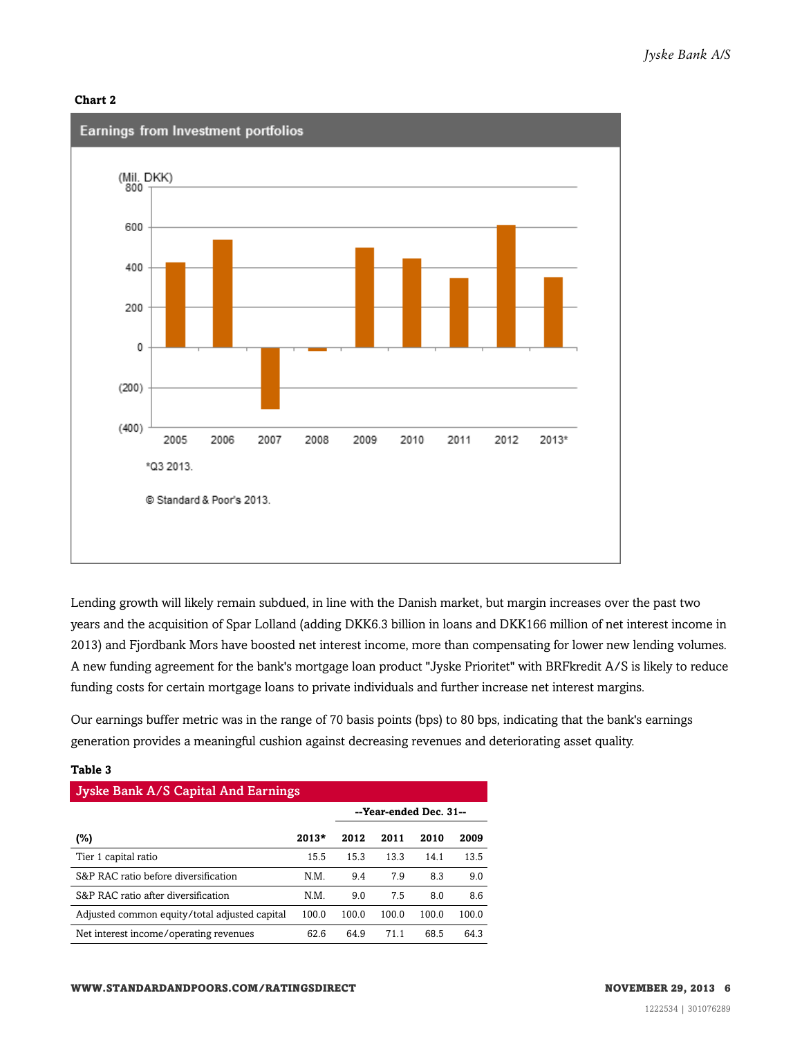



Lending growth will likely remain subdued, in line with the Danish market, but margin increases over the past two years and the acquisition of Spar Lolland (adding DKK6.3 billion in loans and DKK166 million of net interest income in 2013) and Fjordbank Mors have boosted net interest income, more than compensating for lower new lending volumes. A new funding agreement for the bank's mortgage loan product "Jyske Prioritet" with BRFkredit A/S is likely to reduce funding costs for certain mortgage loans to private individuals and further increase net interest margins.

Our earnings buffer metric was in the range of 70 basis points (bps) to 80 bps, indicating that the bank's earnings generation provides a meaningful cushion against decreasing revenues and deteriorating asset quality.

| .                                             |         |                        |       |       |       |  |  |  |  |  |
|-----------------------------------------------|---------|------------------------|-------|-------|-------|--|--|--|--|--|
| <b>Jyske Bank A/S Capital And Earnings</b>    |         |                        |       |       |       |  |  |  |  |  |
|                                               |         | --Year-ended Dec. 31-- |       |       |       |  |  |  |  |  |
| (%)                                           | $2013*$ | 2012                   | 2011  | 2010  | 2009  |  |  |  |  |  |
| Tier 1 capital ratio                          | 15.5    | 15.3                   | 13.3  | 14.1  | 13.5  |  |  |  |  |  |
| S&P RAC ratio before diversification          | N.M.    | 9.4                    | 7.9   | 8.3   | 9.0   |  |  |  |  |  |
| S&P RAC ratio after diversification           | N.M.    | 9.0                    | 7.5   | 8.0   | 8.6   |  |  |  |  |  |
| Adjusted common equity/total adjusted capital | 100.0   | 100.0                  | 100.0 | 100.0 | 100.0 |  |  |  |  |  |
| Net interest income/operating revenues        | 62.6    | 64.9                   | 71.1  | 68.5  | 64.3  |  |  |  |  |  |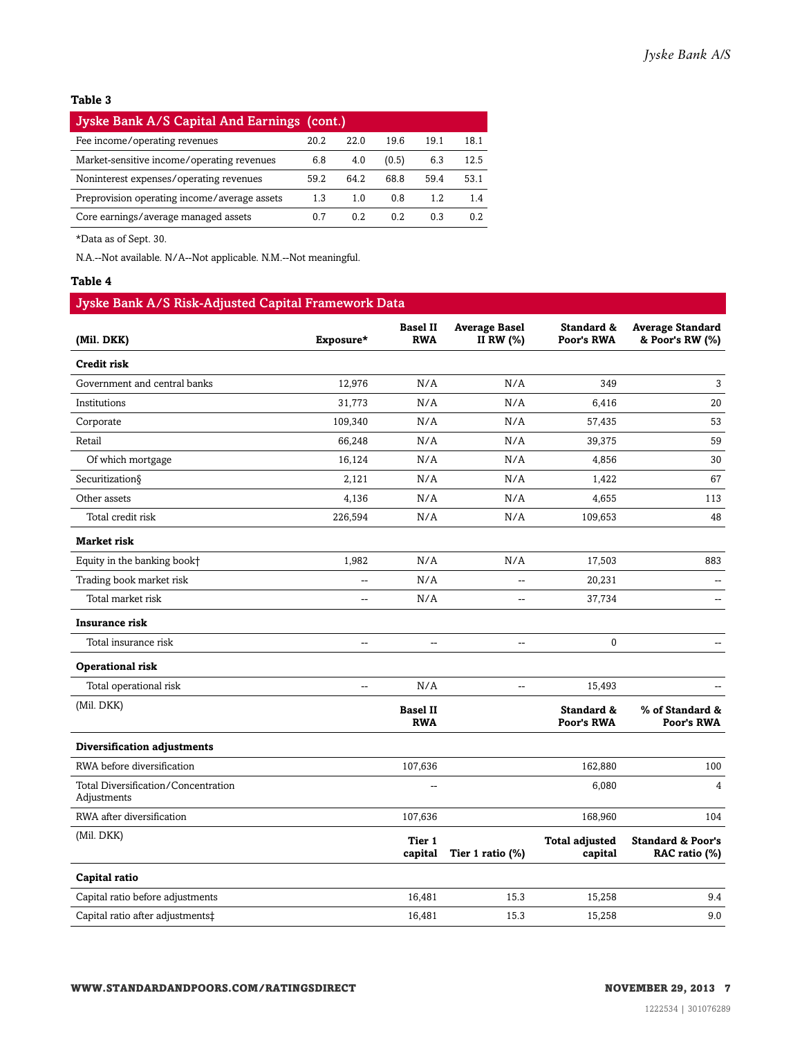| Jyske Bank A/S Capital And Earnings (cont.)  |      |      |       |      |      |
|----------------------------------------------|------|------|-------|------|------|
| Fee income/operating revenues                | 20.2 | 22.0 | 19.6  | 19.1 | 18.1 |
| Market-sensitive income/operating revenues   | 6.8  | 4.0  | (0.5) | 6.3  | 12.5 |
| Noninterest expenses/operating revenues      | 59.2 | 64.2 | 68.8  | 59.4 | 53.1 |
| Preprovision operating income/average assets | 1.3  | 1.0  | 0.8   | 1.2  | 14   |
| Core earnings/average managed assets         | 0 7  | 0.2  | 0.2   | 0.3  | O 2  |

\*Data as of Sept. 30.

N.A.--Not available. N/A--Not applicable. N.M.--Not meaningful.

#### **Table 4**

### Jyske Bank A/S Risk-Adjusted Capital Framework Data

| (Mil. DKK)                                         | Exposure*                | <b>Basel II</b><br><b>RWA</b> | <b>Average Basel</b><br>II RW (%) | Standard &<br>Poor's RWA         | <b>Average Standard</b><br>& Poor's RW (%)    |
|----------------------------------------------------|--------------------------|-------------------------------|-----------------------------------|----------------------------------|-----------------------------------------------|
| Credit risk                                        |                          |                               |                                   |                                  |                                               |
| Government and central banks                       | 12,976                   | N/A                           | N/A                               | 349                              | 3                                             |
| Institutions                                       | 31,773                   | N/A                           | N/A                               | 6,416                            | $20\,$                                        |
| Corporate                                          | 109,340                  | N/A                           | N/A                               | 57,435                           | 53                                            |
| Retail                                             | 66,248                   | N/A                           | N/A                               | 39,375                           | 59                                            |
| Of which mortgage                                  | 16,124                   | N/A                           | N/A                               | 4,856                            | 30                                            |
| Securitization§                                    | 2,121                    | N/A                           | N/A                               | 1,422                            | 67                                            |
| Other assets                                       | 4,136                    | N/A                           | N/A                               | 4,655                            | 113                                           |
| Total credit risk                                  | 226,594                  | N/A                           | N/A                               | 109,653                          | 48                                            |
| <b>Market risk</b>                                 |                          |                               |                                   |                                  |                                               |
| Equity in the banking book+                        | 1,982                    | N/A                           | N/A                               | 17,503                           | 883                                           |
| Trading book market risk                           | --                       | N/A                           | --                                | 20,231                           | $\overline{a}$                                |
| Total market risk                                  | --                       | N/A                           | --                                | 37,734                           | --                                            |
| <b>Insurance risk</b>                              |                          |                               |                                   |                                  |                                               |
| Total insurance risk                               | $\overline{\phantom{a}}$ | $\overline{\phantom{a}}$      | --                                | 0                                |                                               |
| <b>Operational risk</b>                            |                          |                               |                                   |                                  |                                               |
| Total operational risk                             | $\overline{a}$           | N/A                           | $\overline{\phantom{a}}$          | 15,493                           |                                               |
| (Mil. DKK)                                         |                          | <b>Basel II</b><br><b>RWA</b> |                                   | Standard &<br>Poor's RWA         | % of Standard &<br>Poor's RWA                 |
| Diversification adjustments                        |                          |                               |                                   |                                  |                                               |
| RWA before diversification                         |                          | 107,636                       |                                   | 162,880                          | 100                                           |
| Total Diversification/Concentration<br>Adjustments |                          | $\overline{\phantom{a}}$      |                                   | 6,080                            | $\overline{4}$                                |
| RWA after diversification                          |                          | 107,636                       |                                   | 168,960                          | 104                                           |
| (Mil. DKK)                                         |                          | Tier 1<br>capital             | Tier 1 ratio (%)                  | <b>Total adjusted</b><br>capital | <b>Standard &amp; Poor's</b><br>RAC ratio (%) |
| Capital ratio                                      |                          |                               |                                   |                                  |                                               |
| Capital ratio before adjustments                   |                          | 16,481                        | 15.3                              | 15,258                           | 9.4                                           |
| Capital ratio after adjustments‡                   |                          | 16,481                        | 15.3                              | 15,258                           | 9.0                                           |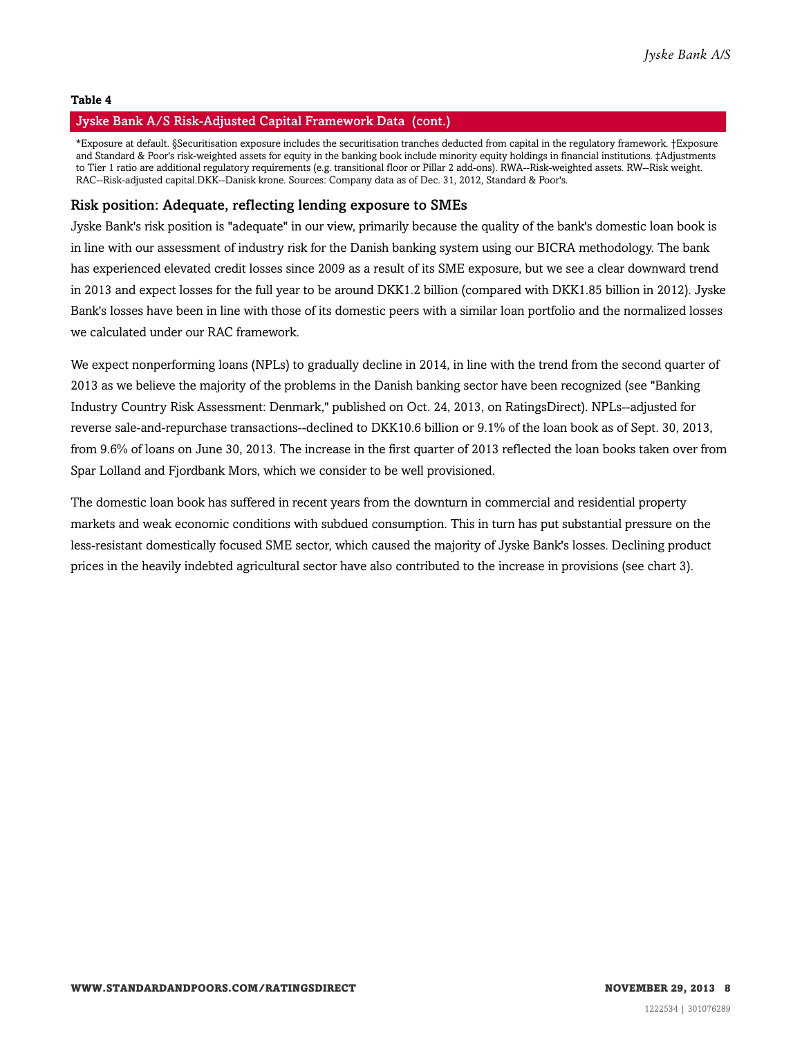#### Jyske Bank A/S Risk-Adjusted Capital Framework Data (cont.)

\*Exposure at default. §Securitisation exposure includes the securitisation tranches deducted from capital in the regulatory framework. †Exposure and Standard & Poor's risk-weighted assets for equity in the banking book include minority equity holdings in financial institutions. ‡Adjustments to Tier 1 ratio are additional regulatory requirements (e.g. transitional floor or Pillar 2 add-ons). RWA--Risk-weighted assets. RW--Risk weight. RAC--Risk-adjusted capital.DKK--Danisk krone. Sources: Company data as of Dec. 31, 2012, Standard & Poor's.

#### Risk position: Adequate, reflecting lending exposure to SMEs

Jyske Bank's risk position is "adequate" in our view, primarily because the quality of the bank's domestic loan book is in line with our assessment of industry risk for the Danish banking system using our BICRA methodology. The bank has experienced elevated credit losses since 2009 as a result of its SME exposure, but we see a clear downward trend in 2013 and expect losses for the full year to be around DKK1.2 billion (compared with DKK1.85 billion in 2012). Jyske Bank's losses have been in line with those of its domestic peers with a similar loan portfolio and the normalized losses we calculated under our RAC framework.

We expect nonperforming loans (NPLs) to gradually decline in 2014, in line with the trend from the second quarter of 2013 as we believe the majority of the problems in the Danish banking sector have been recognized (see "Banking Industry Country Risk Assessment: Denmark," published on Oct. 24, 2013, on RatingsDirect). NPLs--adjusted for reverse sale-and-repurchase transactions--declined to DKK10.6 billion or 9.1% of the loan book as of Sept. 30, 2013, from 9.6% of loans on June 30, 2013. The increase in the first quarter of 2013 reflected the loan books taken over from Spar Lolland and Fjordbank Mors, which we consider to be well provisioned.

The domestic loan book has suffered in recent years from the downturn in commercial and residential property markets and weak economic conditions with subdued consumption. This in turn has put substantial pressure on the less-resistant domestically focused SME sector, which caused the majority of Jyske Bank's losses. Declining product prices in the heavily indebted agricultural sector have also contributed to the increase in provisions (see chart 3).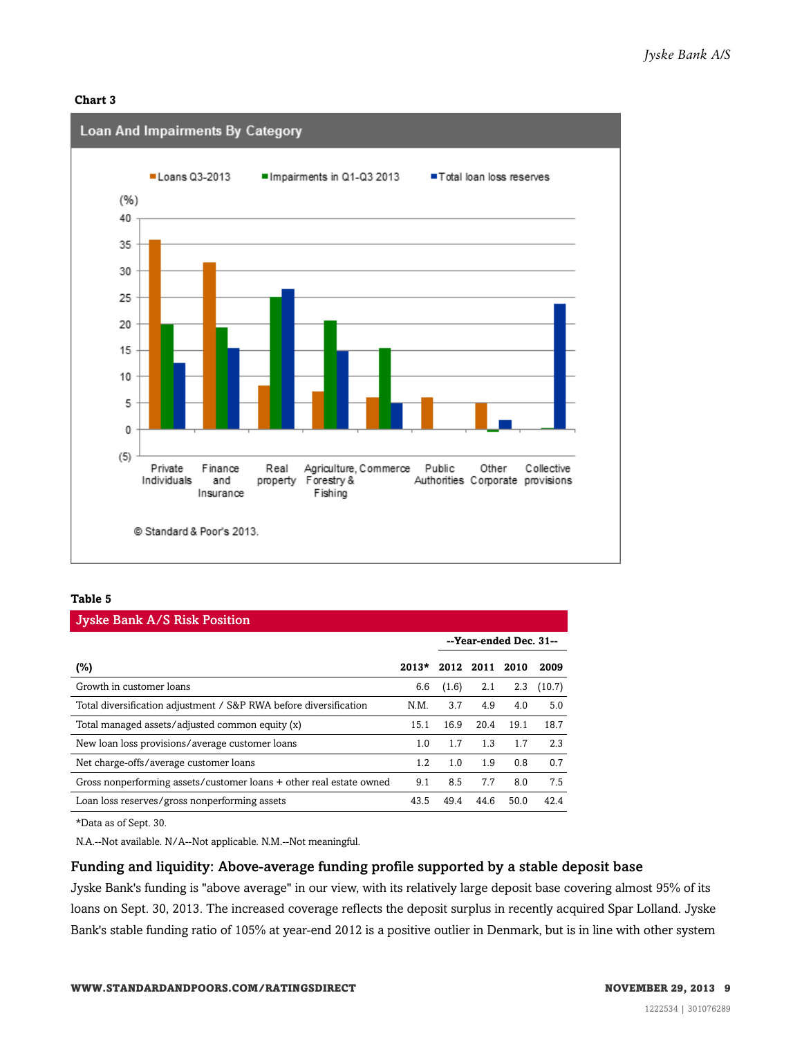#### **Chart 3**



#### **Table 5**

| <b>Jyske Bank A/S Risk Position</b>                                 |         |       |                        |      |        |  |
|---------------------------------------------------------------------|---------|-------|------------------------|------|--------|--|
|                                                                     |         |       | --Year-ended Dec. 31-- |      |        |  |
| (%)                                                                 | $2013*$ |       | 2012 2011 2010         |      | 2009   |  |
| Growth in customer loans                                            | 6.6     | (1.6) | 2.1                    | 2.3  | (10.7) |  |
| Total diversification adjustment / S&P RWA before diversification   | N.M.    | 3.7   | 4.9                    | 4.0  | 5.0    |  |
| Total managed assets/adjusted common equity (x)                     | 15.1    | 16.9  | 20.4                   | 19.1 | 18.7   |  |
| New loan loss provisions/average customer loans                     | 1.0     | 1.7   | 1.3                    | 1.7  | 2.3    |  |
| Net charge-offs/average customer loans                              | 1.2     | 1.0   | 1.9                    | 0.8  | 0.7    |  |
| Gross nonperforming assets/customer loans + other real estate owned | 9.1     | 8.5   | 7.7                    | 8.0  | 7.5    |  |
| Loan loss reserves/gross nonperforming assets                       | 43.5    | 49.4  | 44.6                   | 50.0 | 42.4   |  |

\*Data as of Sept. 30.

N.A.--Not available. N/A--Not applicable. N.M.--Not meaningful.

#### Funding and liquidity: Above-average funding profile supported by a stable deposit base

Jyske Bank's funding is "above average" in our view, with its relatively large deposit base covering almost 95% of its loans on Sept. 30, 2013. The increased coverage reflects the deposit surplus in recently acquired Spar Lolland. Jyske Bank's stable funding ratio of 105% at year-end 2012 is a positive outlier in Denmark, but is in line with other system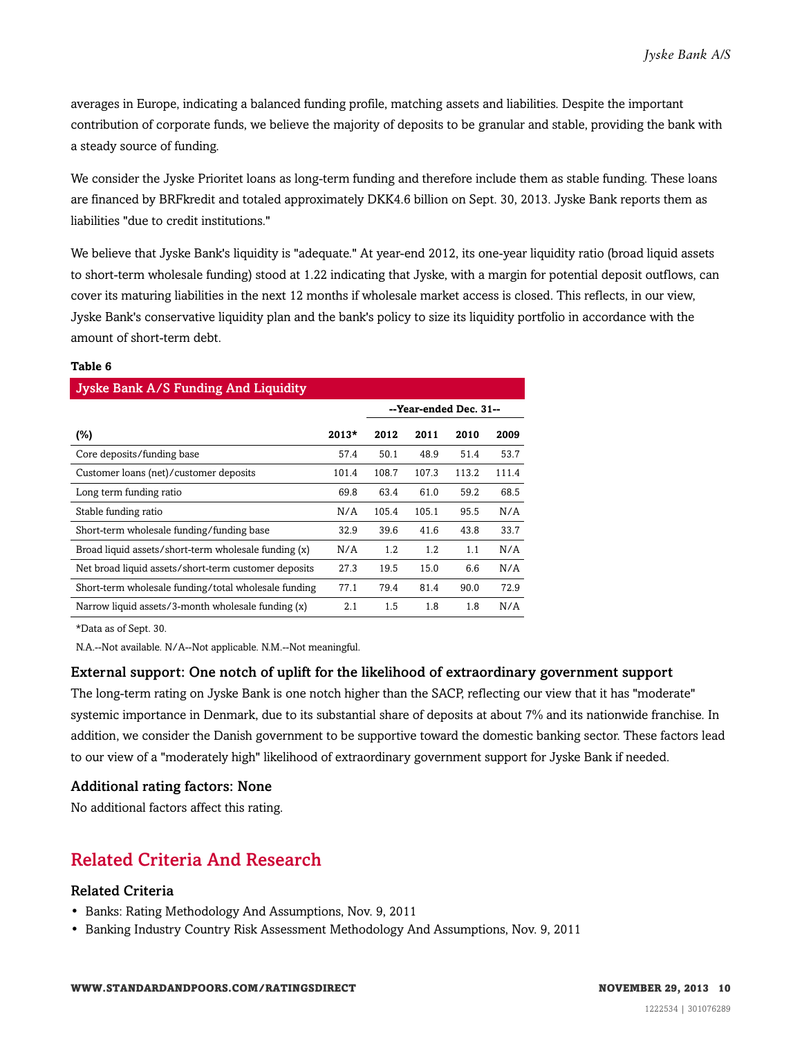averages in Europe, indicating a balanced funding profile, matching assets and liabilities. Despite the important contribution of corporate funds, we believe the majority of deposits to be granular and stable, providing the bank with a steady source of funding.

We consider the Jyske Prioritet loans as long-term funding and therefore include them as stable funding. These loans are financed by BRFkredit and totaled approximately DKK4.6 billion on Sept. 30, 2013. Jyske Bank reports them as liabilities "due to credit institutions."

We believe that Jyske Bank's liquidity is "adequate." At year-end 2012, its one-year liquidity ratio (broad liquid assets to short-term wholesale funding) stood at 1.22 indicating that Jyske, with a margin for potential deposit outflows, can cover its maturing liabilities in the next 12 months if wholesale market access is closed. This reflects, in our view, Jyske Bank's conservative liquidity plan and the bank's policy to size its liquidity portfolio in accordance with the amount of short-term debt.

#### **Table 6**

| Jyske Bank A/S Funding And Liquidity                 |         |       |                        |       |       |  |
|------------------------------------------------------|---------|-------|------------------------|-------|-------|--|
|                                                      |         |       | --Year-ended Dec. 31-- |       |       |  |
| $(\%)$                                               | $2013*$ | 2012  | 2011                   | 2010  | 2009  |  |
| Core deposits/funding base                           | 57.4    | 50.1  | 48.9                   | 51.4  | 53.7  |  |
| Customer loans (net)/customer deposits               | 101.4   | 108.7 | 107.3                  | 113.2 | 111.4 |  |
| Long term funding ratio                              | 69.8    | 63.4  | 61.0                   | 59.2  | 68.5  |  |
| Stable funding ratio                                 | N/A     | 105.4 | 105.1                  | 95.5  | N/A   |  |
| Short-term wholesale funding/funding base            | 32.9    | 39.6  | 41.6                   | 43.8  | 33.7  |  |
| Broad liquid assets/short-term wholesale funding (x) | N/A     | 1.2   | 1.2                    | 1.1   | N/A   |  |
| Net broad liquid assets/short-term customer deposits | 27.3    | 19.5  | 15.0                   | 6.6   | N/A   |  |
| Short-term wholesale funding/total wholesale funding | 77.1    | 79.4  | 81.4                   | 90.0  | 72.9  |  |
| Narrow liquid assets/3-month wholesale funding (x)   | 2.1     | 1.5   | 1.8                    | 1.8   | N/A   |  |

\*Data as of Sept. 30.

N.A.--Not available. N/A--Not applicable. N.M.--Not meaningful.

#### External support: One notch of uplift for the likelihood of extraordinary government support

The long-term rating on Jyske Bank is one notch higher than the SACP, reflecting our view that it has "moderate" systemic importance in Denmark, due to its substantial share of deposits at about 7% and its nationwide franchise. In addition, we consider the Danish government to be supportive toward the domestic banking sector. These factors lead to our view of a "moderately high" likelihood of extraordinary government support for Jyske Bank if needed.

#### Additional rating factors: None

<span id="page-9-0"></span>No additional factors affect this rating.

### Related Criteria And Research

#### Related Criteria

- Banks: Rating Methodology And Assumptions, Nov. 9, 2011
- Banking Industry Country Risk Assessment Methodology And Assumptions, Nov. 9, 2011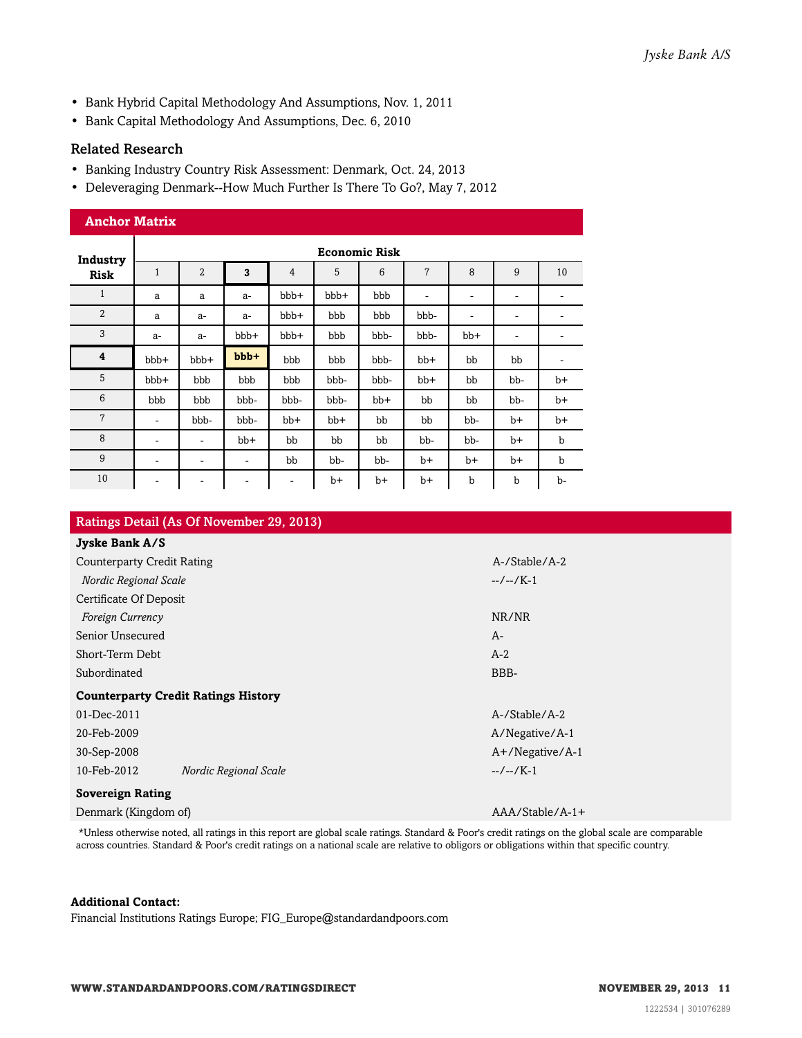- Bank Hybrid Capital Methodology And Assumptions, Nov. 1, 2011
- Bank Capital Methodology And Assumptions, Dec. 6, 2010

#### Related Research

- Banking Industry Country Risk Assessment: Denmark, Oct. 24, 2013
- Deleveraging Denmark--How Much Further Is There To Go?, May 7, 2012

| <b>Anchor Matrix</b> |                          |                          |         |       |       |       |                |                          |      |             |
|----------------------|--------------------------|--------------------------|---------|-------|-------|-------|----------------|--------------------------|------|-------------|
| Industry             | <b>Economic Risk</b>     |                          |         |       |       |       |                |                          |      |             |
| <b>Risk</b>          | $\mathbf{1}$             | $\overline{2}$           | 3       | 4     | 5     | 6     | $\overline{7}$ | 8                        | 9    | 10          |
| $\mathbf{1}$         | a                        | a                        | $a-$    | bbb+  | bbb+  | bbb   | ۰              | $\overline{\phantom{a}}$ | ۰    | ۰           |
| $\overline{2}$       | a                        | $a-$                     | $a-$    | bbb+  | bbb   | bbb   | bbb-           | $\overline{\phantom{a}}$ | ۰    |             |
| 3                    | $a-$                     | $a-$                     | bbb+    | bbb+  | bbb   | bbb-  | bbb-           | bb+                      | -    |             |
| 4                    | bbb+                     | bbb+                     | $bbb +$ | bbb   | bbb   | bbb-  | $bb+$          | bb                       | bb   | -           |
| 5                    | bbb+                     | bbb                      | bbb     | bbb   | bbb-  | bbb-  | $bb+$          | bb                       | bb-  | $b+$        |
| 6                    | bbb                      | bbb                      | bbb-    | bbb-  | bbb-  | $bb+$ | bb             | bb                       | bb-  | $b+$        |
| $\overline{7}$       | ٠                        | bbb-                     | bbb-    | $bb+$ | $bb+$ | bb    | bb             | bb-                      | $b+$ | $b+$        |
| 8                    | $\overline{\phantom{a}}$ | ۰                        | bb+     | bb    | bb    | bb    | bb-            | bb-                      | $b+$ | b           |
| 9                    | $\overline{\phantom{a}}$ | ۰                        | ٠       | bb    | bb-   | bb-   | $b+$           | $b+$                     | $b+$ | $\mathbf b$ |
| 10                   | ٠                        | $\overline{\phantom{a}}$ | ۰       | -     | $b+$  | b+    | b+             | b                        | b    | b-          |

| Ratings Detail (As Of November 29, 2013)   |                    |  |
|--------------------------------------------|--------------------|--|
| Jyske Bank A/S                             |                    |  |
| <b>Counterparty Credit Rating</b>          | A-/Stable/A-2      |  |
| Nordic Regional Scale                      | $-/-/K-1$          |  |
| Certificate Of Deposit                     |                    |  |
| Foreign Currency                           | NR/NR              |  |
| Senior Unsecured                           | $A-$               |  |
| Short-Term Debt                            | $A-2$              |  |
| Subordinated                               | BBB-               |  |
| <b>Counterparty Credit Ratings History</b> |                    |  |
| 01-Dec-2011                                | A-/Stable/A-2      |  |
| 20-Feb-2009                                | A/Negative/A-1     |  |
| 30-Sep-2008                                | $A+$ /Negative/A-1 |  |
| 10-Feb-2012<br>Nordic Regional Scale       | $-/-/K-1$          |  |
| <b>Sovereign Rating</b>                    |                    |  |
| Denmark (Kingdom of)                       | $AAA/Stable/A-1+$  |  |

\*Unless otherwise noted, all ratings in this report are global scale ratings. Standard & Poor's credit ratings on the global scale are comparable across countries. Standard & Poor's credit ratings on a national scale are relative to obligors or obligations within that specific country.

#### **Additional Contact:**

Financial Institutions Ratings Europe; FIG\_Europe@standardandpoors.com